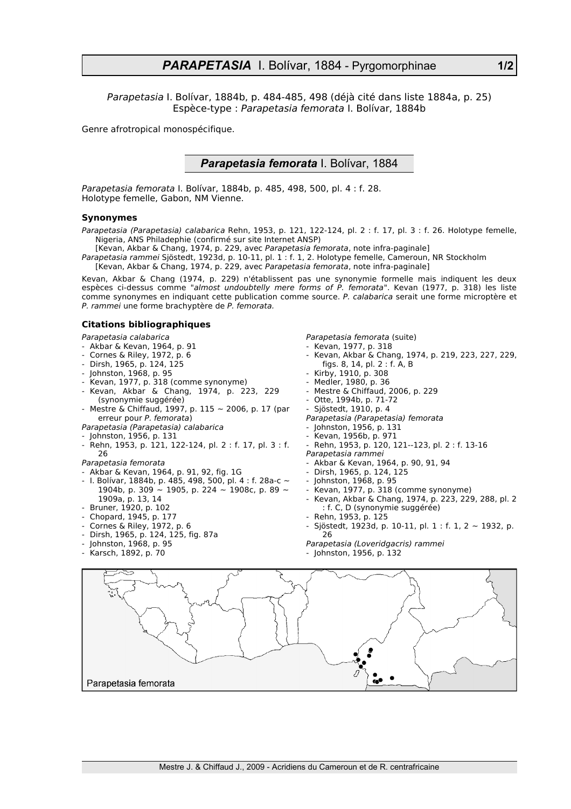# *PARAPETASIA* I. Bolívar, 1884 - Pyrgomorphinae

Parapetasia I. Bolívar, 1884b, p. 484-485, 498 (déjà cité dans liste 1884a, p. 25) Espèce-type : Parapetasia femorata I. Bolívar, 1884b

Genre afrotropical monospécifique.

## *Parapetasia femorata* I. Bolívar, 1884

Parapetasia femorata I. Bolívar, 1884b, p. 485, 498, 500, pl. 4 : f. 28. Holotype femelle, Gabon, NM Vienne.

### **Synonymes**

Parapetasia (Parapetasia) calabarica Rehn, 1953, p. 121, 122-124, pl. 2 : f. 17, pl. 3 : f. 26. Holotype femelle, Nigeria, ANS Philadephie (confirmé sur site Internet ANSP)

[Kevan, Akbar & Chang, 1974, p. 229, avec Parapetasia femorata, note infra-paginale]

Parapetasia rammei Sjöstedt, 1923d, p. 10-11, pl. 1 : f. 1, 2. Holotype femelle, Cameroun, NR Stockholm

[Kevan, Akbar & Chang, 1974, p. 229, avec Parapetasia femorata, note infra-paginale]

Kevan, Akbar & Chang (1974, p. 229) n'établissent pas une synonymie formelle mais indiquent les deux espèces ci-dessus comme "almost undoubtelly mere forms of P. femorata". Kevan (1977, p. 318) les liste comme synonymes en indiquant cette publication comme source. P. calabarica serait une forme microptère et P. rammei une forme brachyptère de P. femorata.

### **Citations bibliographiques**

Parapetasia calabarica

- Akbar & Kevan, 1964, p. 91
- Cornes & Riley, 1972, p. 6
- Dirsh, 1965, p. 124, 125
- Johnston, 1968, p. 95
- Kevan, 1977, p. 318 (comme synonyme)
- Kevan, Akbar & Chang, 1974, p. 223, 229 (synonymie suggérée)
- Mestre & Chiffaud, 1997, p. 115 ~ 2006, p. 17 (par erreur pour P. femorata)
- Parapetasia (Parapetasia) calabarica
- Johnston, 1956, p. 131
- Rehn, 1953, p. 121, 122-124, pl. 2 : f. 17, pl. 3 : f. 26

#### Parapetasia femorata

- Akbar & Kevan, 1964, p. 91, 92, fig. 1G
- I. Bolívar, 1884b, p. 485, 498, 500, pl. 4 : f. 28a-c  $\sim$ 1904b, p. 309  $\sim$  1905, p. 224  $\sim$  1908c, p. 89  $\sim$ 1909a, p. 13, 14
- Bruner, 1920, p. 102
- Chopard, 1945, p. 177
- Cornes & Riley, 1972, p. 6
- Dirsh, 1965, p. 124, 125, fig. 87a
- Johnston, 1968, p. 95
- Karsch, 1892, p. 70
- Parapetasia femorata (suite)
- Kevan, 1977, p. 318
- Kevan, Akbar & Chang, 1974, p. 219, 223, 227, 229, figs. 8, 14, pl. 2 : f. A, B
- Kirby, 1910, p. 308
- Medler, 1980, p. 36
- Mestre & Chiffaud, 2006, p. 229
- Otte, 1994b, p. 71-72
- Sjöstedt, 1910, p. 4
- Parapetasia (Parapetasia) femorata
- Johnston, 1956, p. 131
- Kevan, 1956b, p. 971
- Rehn, 1953, p. 120, 121--123, pl. 2 : f. 13-16
- Parapetasia rammei
- Akbar & Kevan, 1964, p. 90, 91, 94
- Dirsh, 1965, p. 124, 125
- Johnston, 1968, p. 95
- Kevan, 1977, p. 318 (comme synonyme)
- Kevan, Akbar & Chang, 1974, p. 223, 229, 288, pl. 2
- : f. C, D (synonymie suggérée)
- Rehn, 1953, p. 125
- Sjöstedt, 1923d, p. 10-11, pl. 1 : f. 1, 2  $\sim$  1932, p. 26
- Parapetasia (Loveridgacris) rammei
- Johnston, 1956, p. 132